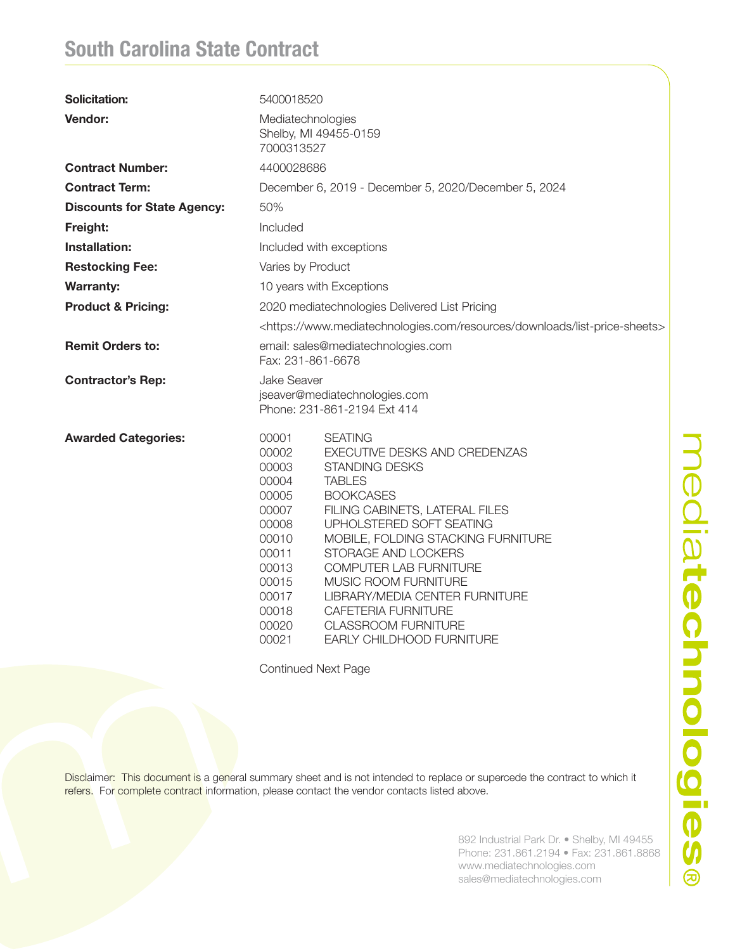## South Carolina State Contract

| <b>Solicitation:</b>               | 5400018520                                                                                                                                                                                                                                                                                                                                                                                                                                                                                                                                                   |  |  |
|------------------------------------|--------------------------------------------------------------------------------------------------------------------------------------------------------------------------------------------------------------------------------------------------------------------------------------------------------------------------------------------------------------------------------------------------------------------------------------------------------------------------------------------------------------------------------------------------------------|--|--|
| Vendor:                            | Mediatechnologies<br>Shelby, MI 49455-0159<br>7000313527                                                                                                                                                                                                                                                                                                                                                                                                                                                                                                     |  |  |
| <b>Contract Number:</b>            | 4400028686                                                                                                                                                                                                                                                                                                                                                                                                                                                                                                                                                   |  |  |
| <b>Contract Term:</b>              | December 6, 2019 - December 5, 2020/December 5, 2024                                                                                                                                                                                                                                                                                                                                                                                                                                                                                                         |  |  |
| <b>Discounts for State Agency:</b> | 50%                                                                                                                                                                                                                                                                                                                                                                                                                                                                                                                                                          |  |  |
| Freight:                           | Included                                                                                                                                                                                                                                                                                                                                                                                                                                                                                                                                                     |  |  |
| Installation:                      | Included with exceptions                                                                                                                                                                                                                                                                                                                                                                                                                                                                                                                                     |  |  |
| <b>Restocking Fee:</b>             | Varies by Product                                                                                                                                                                                                                                                                                                                                                                                                                                                                                                                                            |  |  |
| <b>Warranty:</b>                   | 10 years with Exceptions                                                                                                                                                                                                                                                                                                                                                                                                                                                                                                                                     |  |  |
| <b>Product &amp; Pricing:</b>      | 2020 mediatechnologies Delivered List Pricing                                                                                                                                                                                                                                                                                                                                                                                                                                                                                                                |  |  |
|                                    | <https: downloads="" list-price-sheets="" resources="" www.mediatechnologies.com=""></https:>                                                                                                                                                                                                                                                                                                                                                                                                                                                                |  |  |
| <b>Remit Orders to:</b>            | email: sales@mediatechnologies.com<br>Fax: 231-861-6678                                                                                                                                                                                                                                                                                                                                                                                                                                                                                                      |  |  |
| <b>Contractor's Rep:</b>           | Jake Seaver<br>jseaver@mediatechnologies.com<br>Phone: 231-861-2194 Ext 414                                                                                                                                                                                                                                                                                                                                                                                                                                                                                  |  |  |
| <b>Awarded Categories:</b>         | 00001<br><b>SEATING</b><br>00002<br>EXECUTIVE DESKS AND CREDENZAS<br>00003<br><b>STANDING DESKS</b><br>00004<br><b>TABLES</b><br>00005<br><b>BOOKCASES</b><br>00007<br>FILING CABINETS, LATERAL FILES<br>00008<br>UPHOLSTERED SOFT SEATING<br>00010<br>MOBILE, FOLDING STACKING FURNITURE<br>00011<br>STORAGE AND LOCKERS<br>00013<br>COMPUTER LAB FURNITURE<br>00015<br>MUSIC ROOM FURNITURE<br>00017<br>LIBRARY/MEDIA CENTER FURNITURE<br>00018<br>CAFETERIA FURNITURE<br>00020<br><b>CLASSROOM FURNITURE</b><br>00021<br><b>EARLY CHILDHOOD FURNITURE</b> |  |  |

Continued Next Page

Disclaimer: This document is a general summary sheet and is not intended to replace or supercede the contract to which it refers. For complete contract information, please contact the vendor contacts listed above.

> 892 Industrial Park Dr. • Shelby, MI 49455 Phone: 231.861.2194 • Fax: 231.861.8868 www.mediatechnologies.com sales@mediatechnologies.com